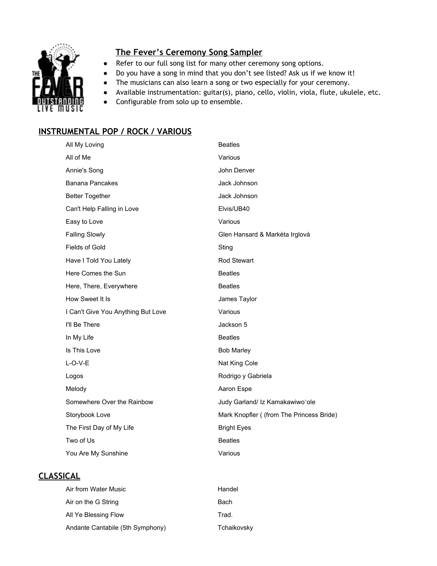

## **The Fever's Ceremony Song Sampler**

- Refer to our full song list for many other ceremony song options.
- Do you have a song in mind that you don't see listed? Ask us if we know it!
- The musicians can also learn a song or two especially for your ceremony.
- Available instrumentation: guitar(s), piano, cello, violin, viola, flute, ukulele, etc.
- Configurable from solo up to ensemble.

## **INSTRUMENTAL POP / ROCK / VARIOUS**

| All My Loving                      | <b>Beatles</b>                           |
|------------------------------------|------------------------------------------|
| All of Me                          | Various                                  |
| Annie's Song                       | John Denver                              |
| <b>Banana Pancakes</b>             | Jack Johnson                             |
| <b>Better Together</b>             | Jack Johnson                             |
| Can't Help Falling in Love         | Elvis/UB40                               |
| Easy to Love                       | Various                                  |
| <b>Falling Slowly</b>              | Glen Hansard & Markéta Irglová           |
| Fields of Gold                     | Sting                                    |
| Have I Told You Lately             | Rod Stewart                              |
| Here Comes the Sun                 | <b>Beatles</b>                           |
| Here, There, Everywhere            | <b>Beatles</b>                           |
| How Sweet It Is                    | James Taylor                             |
| I Can't Give You Anything But Love | Various                                  |
| I'll Be There                      | Jackson 5                                |
| In My Life                         | <b>Beatles</b>                           |
| Is This Love                       | <b>Bob Marley</b>                        |
| $L-O-V-E$                          | Nat King Cole                            |
| Logos                              | Rodrigo y Gabriela                       |
| Melody                             | Aaron Espe                               |
| Somewhere Over the Rainbow         | Judy Garland/ Iz Kamakawiwo'ole          |
| Storybook Love                     | Mark Knopfler ((from The Princess Bride) |
| The First Day of My Life           | <b>Bright Eyes</b>                       |
| Two of Us                          | <b>Beatles</b>                           |
| You Are My Sunshine                | Various                                  |

## **CLASSICAL**

| Air from Water Music             | Handel      |
|----------------------------------|-------------|
| Air on the G String              | Bach        |
| All Ye Blessing Flow             | Trad.       |
| Andante Cantabile (5th Symphony) | Tchaikovsky |